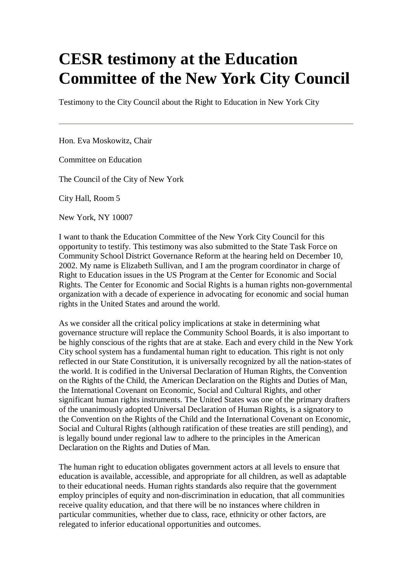## **CESR testimony at the Education Committee of the New York City Council**

Testimony to the City Council about the Right to Education in New York City

Hon. Eva Moskowitz, Chair

Committee on Education

The Council of the City of New York

City Hall, Room 5

New York, NY 10007

I want to thank the Education Committee of the New York City Council for this opportunity to testify. This testimony was also submitted to the State Task Force on Community School District Governance Reform at the hearing held on December 10, 2002. My name is Elizabeth Sullivan, and I am the program coordinator in charge of Right to Education issues in the US Program at the Center for Economic and Social Rights. The Center for Economic and Social Rights is a human rights non-governmental organization with a decade of experience in advocating for economic and social human rights in the United States and around the world.

As we consider all the critical policy implications at stake in determining what governance structure will replace the Community School Boards, it is also important to be highly conscious of the rights that are at stake. Each and every child in the New York City school system has a fundamental human right to education. This right is not only reflected in our State Constitution, it is universally recognized by all the nation-states of the world. It is codified in the Universal Declaration of Human Rights, the Convention on the Rights of the Child, the American Declaration on the Rights and Duties of Man, the International Covenant on Economic, Social and Cultural Rights, and other significant human rights instruments. The United States was one of the primary drafters of the unanimously adopted Universal Declaration of Human Rights, is a signatory to the Convention on the Rights of the Child and the International Covenant on Economic, Social and Cultural Rights (although ratification of these treaties are still pending), and is legally bound under regional law to adhere to the principles in the American Declaration on the Rights and Duties of Man.

The human right to education obligates government actors at all levels to ensure that education is available, accessible, and appropriate for all children, as well as adaptable to their educational needs. Human rights standards also require that the government employ principles of equity and non-discrimination in education, that all communities receive quality education, and that there will be no instances where children in particular communities, whether due to class, race, ethnicity or other factors, are relegated to inferior educational opportunities and outcomes.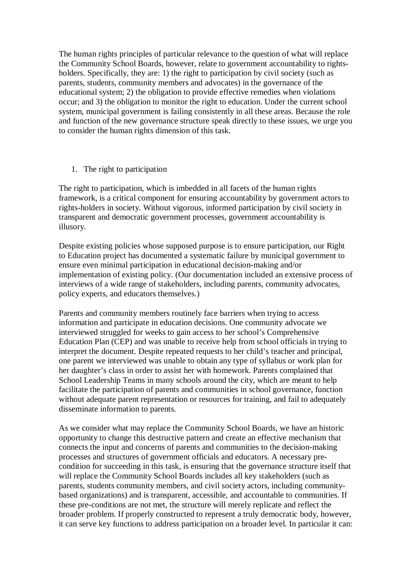The human rights principles of particular relevance to the question of what will replace the Community School Boards, however, relate to government accountability to rightsholders. Specifically, they are: 1) the right to participation by civil society (such as parents, students, community members and advocates) in the governance of the educational system; 2) the obligation to provide effective remedies when violations occur; and 3) the obligation to monitor the right to education. Under the current school system, municipal government is failing consistently in all these areas. Because the role and function of the new governance structure speak directly to these issues, we urge you to consider the human rights dimension of this task.

1. The right to participation

The right to participation, which is imbedded in all facets of the human rights framework, is a critical component for ensuring accountability by government actors to rights-holders in society. Without vigorous, informed participation by civil society in transparent and democratic government processes, government accountability is illusory.

Despite existing policies whose supposed purpose is to ensure participation, our Right to Education project has documented a systematic failure by municipal government to ensure even minimal participation in educational decision-making and/or implementation of existing policy. (Our documentation included an extensive process of interviews of a wide range of stakeholders, including parents, community advocates, policy experts, and educators themselves.)

Parents and community members routinely face barriers when trying to access information and participate in education decisions. One community advocate we interviewed struggled for weeks to gain access to her school's Comprehensive Education Plan (CEP) and was unable to receive help from school officials in trying to interpret the document. Despite repeated requests to her child's teacher and principal, one parent we interviewed was unable to obtain any type of syllabus or work plan for her daughter's class in order to assist her with homework. Parents complained that School Leadership Teams in many schools around the city, which are meant to help facilitate the participation of parents and communities in school governance, function without adequate parent representation or resources for training, and fail to adequately disseminate information to parents.

As we consider what may replace the Community School Boards, we have an historic opportunity to change this destructive pattern and create an effective mechanism that connects the input and concerns of parents and communities to the decision-making processes and structures of government officials and educators. A necessary precondition for succeeding in this task, is ensuring that the governance structure itself that will replace the Community School Boards includes all key stakeholders (such as parents, students community members, and civil society actors, including communitybased organizations) and is transparent, accessible, and accountable to communities. If these pre-conditions are not met, the structure will merely replicate and reflect the broader problem. If properly constructed to represent a truly democratic body, however, it can serve key functions to address participation on a broader level. In particular it can: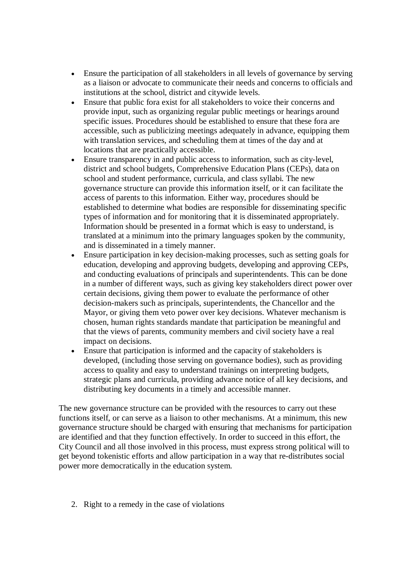- Ensure the participation of all stakeholders in all levels of governance by serving as a liaison or advocate to communicate their needs and concerns to officials and institutions at the school, district and citywide levels.
- Ensure that public fora exist for all stakeholders to voice their concerns and provide input, such as organizing regular public meetings or hearings around specific issues. Procedures should be established to ensure that these fora are accessible, such as publicizing meetings adequately in advance, equipping them with translation services, and scheduling them at times of the day and at locations that are practically accessible.
- Ensure transparency in and public access to information, such as city-level, district and school budgets, Comprehensive Education Plans (CEPs), data on school and student performance, curricula, and class syllabi. The new governance structure can provide this information itself, or it can facilitate the access of parents to this information. Either way, procedures should be established to determine what bodies are responsible for disseminating specific types of information and for monitoring that it is disseminated appropriately. Information should be presented in a format which is easy to understand, is translated at a minimum into the primary languages spoken by the community, and is disseminated in a timely manner.
- Ensure participation in key decision-making processes, such as setting goals for education, developing and approving budgets, developing and approving CEPs, and conducting evaluations of principals and superintendents. This can be done in a number of different ways, such as giving key stakeholders direct power over certain decisions, giving them power to evaluate the performance of other decision-makers such as principals, superintendents, the Chancellor and the Mayor, or giving them veto power over key decisions. Whatever mechanism is chosen, human rights standards mandate that participation be meaningful and that the views of parents, community members and civil society have a real impact on decisions.
- Ensure that participation is informed and the capacity of stakeholders is developed, (including those serving on governance bodies), such as providing access to quality and easy to understand trainings on interpreting budgets, strategic plans and curricula, providing advance notice of all key decisions, and distributing key documents in a timely and accessible manner.

The new governance structure can be provided with the resources to carry out these functions itself, or can serve as a liaison to other mechanisms. At a minimum, this new governance structure should be charged with ensuring that mechanisms for participation are identified and that they function effectively. In order to succeed in this effort, the City Council and all those involved in this process, must express strong political will to get beyond tokenistic efforts and allow participation in a way that re-distributes social power more democratically in the education system.

2. Right to a remedy in the case of violations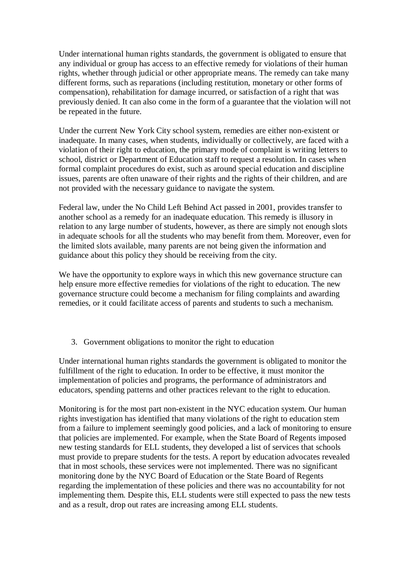Under international human rights standards, the government is obligated to ensure that any individual or group has access to an effective remedy for violations of their human rights, whether through judicial or other appropriate means. The remedy can take many different forms, such as reparations (including restitution, monetary or other forms of compensation), rehabilitation for damage incurred, or satisfaction of a right that was previously denied. It can also come in the form of a guarantee that the violation will not be repeated in the future.

Under the current New York City school system, remedies are either non-existent or inadequate. In many cases, when students, individually or collectively, are faced with a violation of their right to education, the primary mode of complaint is writing letters to school, district or Department of Education staff to request a resolution. In cases when formal complaint procedures do exist, such as around special education and discipline issues, parents are often unaware of their rights and the rights of their children, and are not provided with the necessary guidance to navigate the system.

Federal law, under the No Child Left Behind Act passed in 2001, provides transfer to another school as a remedy for an inadequate education. This remedy is illusory in relation to any large number of students, however, as there are simply not enough slots in adequate schools for all the students who may benefit from them. Moreover, even for the limited slots available, many parents are not being given the information and guidance about this policy they should be receiving from the city.

We have the opportunity to explore ways in which this new governance structure can help ensure more effective remedies for violations of the right to education. The new governance structure could become a mechanism for filing complaints and awarding remedies, or it could facilitate access of parents and students to such a mechanism.

3. Government obligations to monitor the right to education

Under international human rights standards the government is obligated to monitor the fulfillment of the right to education. In order to be effective, it must monitor the implementation of policies and programs, the performance of administrators and educators, spending patterns and other practices relevant to the right to education.

Monitoring is for the most part non-existent in the NYC education system. Our human rights investigation has identified that many violations of the right to education stem from a failure to implement seemingly good policies, and a lack of monitoring to ensure that policies are implemented. For example, when the State Board of Regents imposed new testing standards for ELL students, they developed a list of services that schools must provide to prepare students for the tests. A report by education advocates revealed that in most schools, these services were not implemented. There was no significant monitoring done by the NYC Board of Education or the State Board of Regents regarding the implementation of these policies and there was no accountability for not implementing them. Despite this, ELL students were still expected to pass the new tests and as a result, drop out rates are increasing among ELL students.